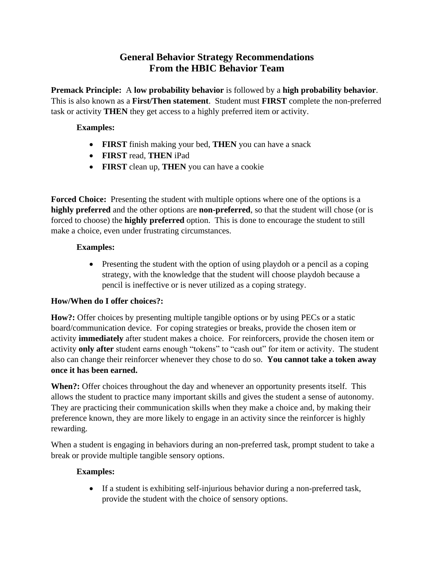# **General Behavior Strategy Recommendations From the HBIC Behavior Team**

**Premack Principle:** A **low probability behavior** is followed by a **high probability behavior**. This is also known as a **First/Then statement**. Student must **FIRST** complete the non-preferred task or activity **THEN** they get access to a highly preferred item or activity.

### **Examples:**

- **FIRST** finish making your bed, **THEN** you can have a snack
- **FIRST** read, **THEN** iPad
- **FIRST** clean up, **THEN** you can have a cookie

**Forced Choice:** Presenting the student with multiple options where one of the options is a **highly preferred** and the other options are **non-preferred**, so that the student will chose (or is forced to choose) the **highly preferred** option. This is done to encourage the student to still make a choice, even under frustrating circumstances.

#### **Examples:**

• Presenting the student with the option of using playdoh or a pencil as a coping strategy, with the knowledge that the student will choose playdoh because a pencil is ineffective or is never utilized as a coping strategy.

## **How/When do I offer choices?:**

**How?:** Offer choices by presenting multiple tangible options or by using PECs or a static board/communication device. For coping strategies or breaks, provide the chosen item or activity **immediately** after student makes a choice. For reinforcers, provide the chosen item or activity **only after** student earns enough "tokens" to "cash out" for item or activity. The student also can change their reinforcer whenever they chose to do so. **You cannot take a token away once it has been earned.**

When?: Offer choices throughout the day and whenever an opportunity presents itself. This allows the student to practice many important skills and gives the student a sense of autonomy. They are practicing their communication skills when they make a choice and, by making their preference known, they are more likely to engage in an activity since the reinforcer is highly rewarding.

When a student is engaging in behaviors during an non-preferred task, prompt student to take a break or provide multiple tangible sensory options.

## **Examples:**

• If a student is exhibiting self-injurious behavior during a non-preferred task, provide the student with the choice of sensory options.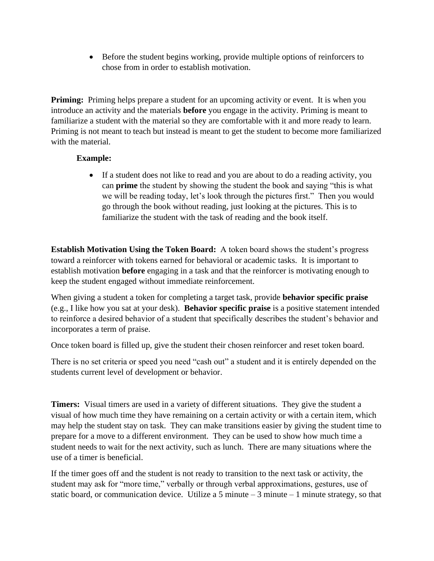• Before the student begins working, provide multiple options of reinforcers to chose from in order to establish motivation.

**Priming:** Priming helps prepare a student for an upcoming activity or event. It is when you introduce an activity and the materials **before** you engage in the activity. Priming is meant to familiarize a student with the material so they are comfortable with it and more ready to learn. Priming is not meant to teach but instead is meant to get the student to become more familiarized with the material.

#### **Example:**

• If a student does not like to read and you are about to do a reading activity, you can **prime** the student by showing the student the book and saying "this is what we will be reading today, let's look through the pictures first." Then you would go through the book without reading, just looking at the pictures. This is to familiarize the student with the task of reading and the book itself.

**Establish Motivation Using the Token Board:** A token board shows the student's progress toward a reinforcer with tokens earned for behavioral or academic tasks. It is important to establish motivation **before** engaging in a task and that the reinforcer is motivating enough to keep the student engaged without immediate reinforcement.

When giving a student a token for completing a target task, provide **behavior specific praise** (e.g., I like how you sat at your desk). **Behavior specific praise** is a positive statement intended to reinforce a desired behavior of a student that specifically describes the student's behavior and incorporates a term of praise.

Once token board is filled up, give the student their chosen reinforcer and reset token board.

There is no set criteria or speed you need "cash out" a student and it is entirely depended on the students current level of development or behavior.

**Timers:** Visual timers are used in a variety of different situations. They give the student a visual of how much time they have remaining on a certain activity or with a certain item, which may help the student stay on task. They can make transitions easier by giving the student time to prepare for a move to a different environment. They can be used to show how much time a student needs to wait for the next activity, such as lunch. There are many situations where the use of a timer is beneficial.

If the timer goes off and the student is not ready to transition to the next task or activity, the student may ask for "more time," verbally or through verbal approximations, gestures, use of static board, or communication device. Utilize a 5 minute – 3 minute – 1 minute strategy, so that